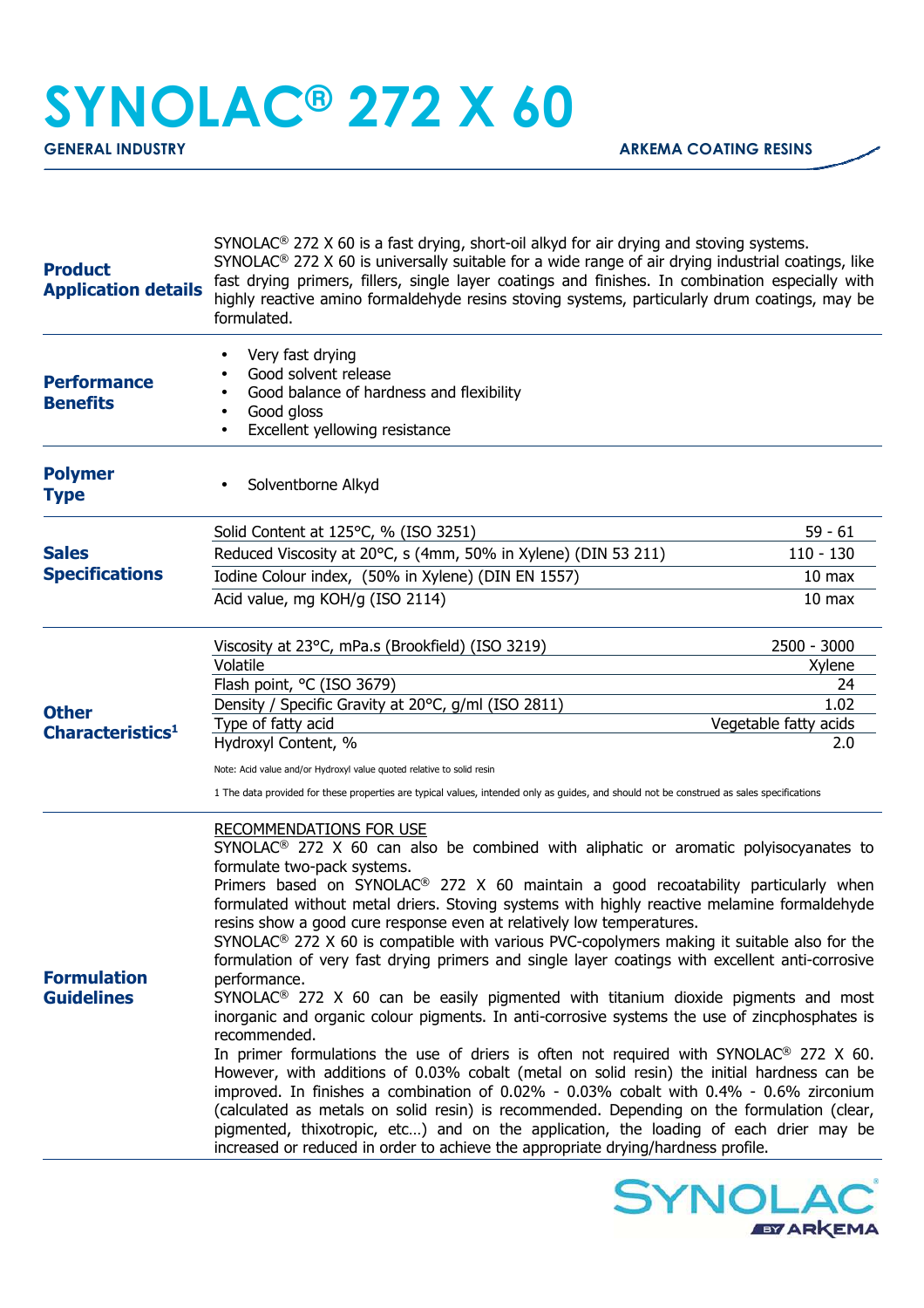## **SYNOLAC® 272 X 60**

| <b>Product</b><br><b>Application details</b> | SYNOLAC <sup>®</sup> 272 X 60 is a fast drying, short-oil alkyd for air drying and stoving systems.<br>SYNOLAC <sup>®</sup> 272 X 60 is universally suitable for a wide range of air drying industrial coatings, like<br>fast drying primers, fillers, single layer coatings and finishes. In combination especially with<br>highly reactive amino formaldehyde resins stoving systems, particularly drum coatings, may be<br>formulated.                                                                                                                                                                                                                                                                                                                                                      |                       |
|----------------------------------------------|------------------------------------------------------------------------------------------------------------------------------------------------------------------------------------------------------------------------------------------------------------------------------------------------------------------------------------------------------------------------------------------------------------------------------------------------------------------------------------------------------------------------------------------------------------------------------------------------------------------------------------------------------------------------------------------------------------------------------------------------------------------------------------------------|-----------------------|
| <b>Performance</b><br><b>Benefits</b>        | Very fast drying<br>Good solvent release<br>Good balance of hardness and flexibility<br>Good gloss<br>$\bullet$<br>Excellent yellowing resistance<br>$\bullet$                                                                                                                                                                                                                                                                                                                                                                                                                                                                                                                                                                                                                                 |                       |
| <b>Polymer</b><br><b>Type</b>                | Solventborne Alkyd                                                                                                                                                                                                                                                                                                                                                                                                                                                                                                                                                                                                                                                                                                                                                                             |                       |
|                                              | Solid Content at 125°C, % (ISO 3251)                                                                                                                                                                                                                                                                                                                                                                                                                                                                                                                                                                                                                                                                                                                                                           | $59 - 61$             |
| <b>Sales</b><br><b>Specifications</b>        | Reduced Viscosity at 20°C, s (4mm, 50% in Xylene) (DIN 53 211)                                                                                                                                                                                                                                                                                                                                                                                                                                                                                                                                                                                                                                                                                                                                 | $110 - 130$           |
|                                              | Iodine Colour index, (50% in Xylene) (DIN EN 1557)                                                                                                                                                                                                                                                                                                                                                                                                                                                                                                                                                                                                                                                                                                                                             | 10 <sub>max</sub>     |
|                                              | Acid value, mg KOH/g (ISO 2114)                                                                                                                                                                                                                                                                                                                                                                                                                                                                                                                                                                                                                                                                                                                                                                | 10 <sub>max</sub>     |
|                                              | Viscosity at 23°C, mPa.s (Brookfield) (ISO 3219)                                                                                                                                                                                                                                                                                                                                                                                                                                                                                                                                                                                                                                                                                                                                               | 2500 - 3000           |
|                                              | Volatile                                                                                                                                                                                                                                                                                                                                                                                                                                                                                                                                                                                                                                                                                                                                                                                       | Xylene                |
| <b>Other</b><br>Characteristics <sup>1</sup> | Flash point, °C (ISO 3679)                                                                                                                                                                                                                                                                                                                                                                                                                                                                                                                                                                                                                                                                                                                                                                     | 24<br>1.02            |
|                                              | Density / Specific Gravity at 20°C, g/ml (ISO 2811)<br>Type of fatty acid                                                                                                                                                                                                                                                                                                                                                                                                                                                                                                                                                                                                                                                                                                                      | Vegetable fatty acids |
|                                              | Hydroxyl Content, %                                                                                                                                                                                                                                                                                                                                                                                                                                                                                                                                                                                                                                                                                                                                                                            | 2.0                   |
|                                              | Note: Acid value and/or Hydroxyl value quoted relative to solid resin                                                                                                                                                                                                                                                                                                                                                                                                                                                                                                                                                                                                                                                                                                                          |                       |
|                                              | 1 The data provided for these properties are typical values, intended only as guides, and should not be construed as sales specifications                                                                                                                                                                                                                                                                                                                                                                                                                                                                                                                                                                                                                                                      |                       |
|                                              | <b>RECOMMENDATIONS FOR USE</b><br>SYNOLAC <sup>®</sup> 272 X 60 can also be combined with aliphatic or aromatic polyisocyanates to<br>formulate two-pack systems.<br>Primers based on SYNOLAC <sup>®</sup> 272 X 60 maintain a good recoatability particularly when<br>formulated without metal driers. Stoving systems with highly reactive melamine formaldehyde<br>resins show a good cure response even at relatively low temperatures.<br>$SYNOLAC®$ 272 X 60 is compatible with various PVC-copolymers making it suitable also for the<br>formulation of very fast drying primers and single layer coatings with excellent anti-corrosive                                                                                                                                                |                       |
| <b>Formulation</b><br><b>Guidelines</b>      | performance.<br>$SYNOLAC®$ 272 X 60 can be easily pigmented with titanium dioxide pigments and most<br>inorganic and organic colour pigments. In anti-corrosive systems the use of zincphosphates is<br>recommended.<br>In primer formulations the use of driers is often not required with SYNOLAC <sup>®</sup> 272 X 60.<br>However, with additions of 0.03% cobalt (metal on solid resin) the initial hardness can be<br>improved. In finishes a combination of 0.02% - 0.03% cobalt with 0.4% - 0.6% zirconium<br>(calculated as metals on solid resin) is recommended. Depending on the formulation (clear,<br>pigmented, thixotropic, etc) and on the application, the loading of each drier may be<br>increased or reduced in order to achieve the appropriate drying/hardness profile. |                       |